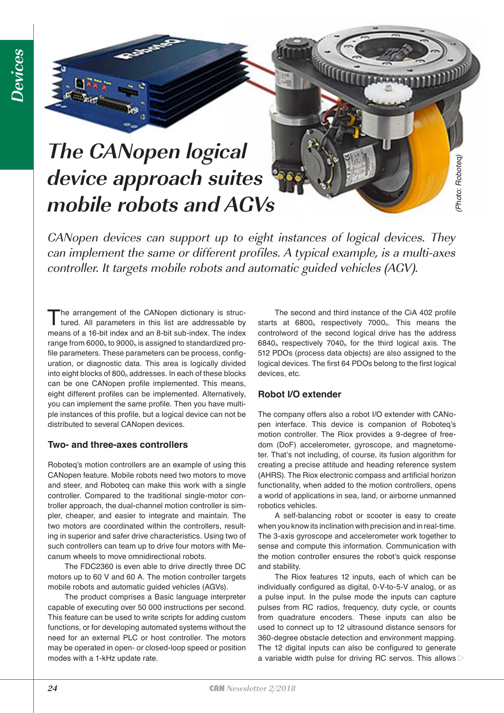# **The CANopen logical device approach suites mobile robots and AGVs**

CANopen devices can support up to eight instances of logical devices. They can implement the same or different profiles. A typical example, is a multi-axes controller. It targets mobile robots and automatic guided vehicles (AGV).

The arrangement of the CANopen dictionary is structured. All parameters in this list are addressable by means of a 16-bit index and an 8-bit sub-index. The index range from 6000<sub>h</sub> to 9000<sub>h</sub> is assigned to standardized profile parameters. These parameters can be process, configuration, or diagnostic data. This area is logically divided into eight blocks of  $800<sub>h</sub>$  addresses. In each of these blocks can be one CANopen profile implemented. This means, eight different profiles can be implemented. Alternatively, you can implement the same profile. Then you have multiple instances of this profile, but a logical device can not be distributed to several CANopen devices.

### **Two- and three-axes controllers**

Roboteq's motion controllers are an example of using this CANopen feature. Mobile robots need two motors to move and steer, and Roboteq can make this work with a single controller. Compared to the traditional single-motor controller approach, the dual-channel motion controller is simpler, cheaper, and easier to integrate and maintain. The two motors are coordinated within the controllers, resulting in superior and safer drive characteristics. Using two of such controllers can team up to drive four motors with Mecanum wheels to move omnidirectional robots.

The FDC2360 is even able to drive directly three DC motors up to 60 V and 60 A. The motion controller targets mobile robots and automatic guided vehicles (AGVs).

The product comprises a Basic language interpreter capable of executing over 50 000 instructions per second. This feature can be used to write scripts for adding custom functions, or for developing automated systems without the need for an external PLC or host controller. The motors may be operated in open- or closed-loop speed or position modes with a 1-kHz update rate.

The second and third instance of the CiA 402 profile starts at  $6800<sub>h</sub>$  respectively  $7000<sub>h</sub>$ . This means the controlword of the second logical drive has the address  $6840<sub>h</sub>$  respectively 7040 $<sub>h</sub>$  for the third logical axis. The</sub> 512 PDOs (process data objects) are also assigned to the logical devices. The first 64 PDOs belong to the first logical devices, etc.

#### **Robot I/O extender**

The company offers also a robot I/O extender with CANopen interface. This device is companion of Roboteq's motion controller. The Riox provides a 9-degree of freedom (DoF) accelerometer, gyroscope, and magnetometer. That's not including, of course, its fusion algorithm for creating a precise attitude and heading reference system (AHRS). The Riox electronic compass and artificial horizon functionality, when added to the motion controllers, opens a world of applications in sea, land, or airborne unmanned robotics vehicles. **Example 19**<br> **As variable specified and the CM-402 profiles and the control of the control of the second and third instance of the CA 402 profile<br>
starts at 6800., respectively 7000,. This means the<br>
control over do the s** 

A self-balancing robot or scooter is easy to create when you know its inclination with precision and in real-time. The 3-axis gyroscope and accelerometer work together to sense and compute this information. Communication with the motion controller ensures the robot's quick response and stability.

The Riox features 12 inputs, each of which can be individually configured as digital, 0-V-to-5-V analog, or as a pulse input. In the pulse mode the inputs can capture pulses from RC radios, frequency, duty cycle, or counts from quadrature encoders. These inputs can also be used to connect up to 12 ultrasound distance sensors for 360-degree obstacle detection and environment mapping. The 12 digital inputs can also be configured to generate